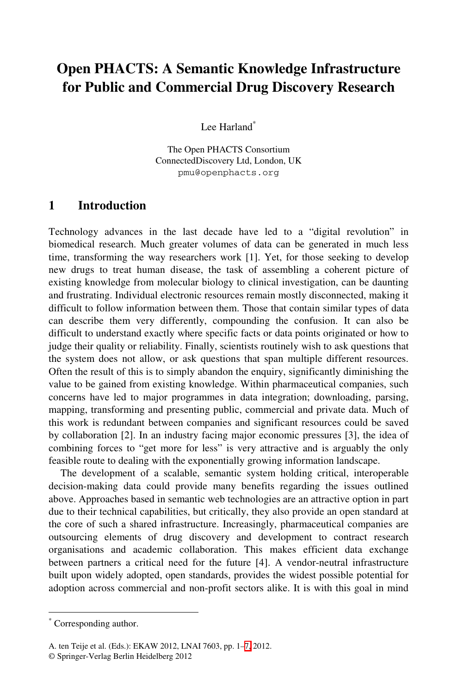# **Open PHACTS: A Semantic Knowledge Infrastructure for Public and Commercial Drug Discovery Research**

Lee Harland<sup>\*</sup>

The Open PHACTS Consortium ConnectedDiscovery Ltd, London, UK pmu@openphacts.org

#### **1 Introduction**

Technology advances in the last decade have led to a "digital revolution" in biomedical research. Much greater volumes of data can be generated in much less time, transforming the way researchers work [1]. Yet, for those seeking to develop new drugs to treat human disease, the task of assembling a coherent picture of existing knowledge from molecular biology to clinical investigation, can be daunting and frustrating. Individual electronic resources remain mostly disconnected, making it difficult to follow information between them. Those that contain similar types of data can describe them very differently, compounding the confusion. It can also be difficult to understand exactly where specific facts or data points originated or how to judge their quality or reliability. Finally, scientists routinely wish to ask questions that the system does not allow, or ask questions that span multiple different resources. Often the result of this is to simply abandon the enquiry, significantly diminishing the value to be gained from existing knowledge. Within pharmaceutical companies, such concerns have led to major programmes in data integration; downloading, parsing, mapping, transforming and presenting public, commercial and private data. Much of this work is redundant between companies and significant resources could be saved by collaboration [2]. In an industry facing major economic pressures [3], the idea of combining forces to "get more for less" is very attractive and is arguably the only feasible route to dealing with the exponentially growing information landscape.

The development of a scalable, semantic system holding critical, interoperable decision-making data could provide many benefits regarding the issues outlined above. Approaches based in semantic web technologies are an attractive option in part due to their technical capabilities, but critically, they also provide an open standard at the core of such a shared infrastructure. Increasingly, pharmaceutical companies are outsourcing elements of drug discovery and development to contract research organisations and acade[mic](#page-6-0) collaboration. This makes efficient data exchange between partners a critical need for the future [4]. A vendor-neutral infrastructure built upon widely adopted, open standards, provides the widest possible potential for adoption across commercial and non-profit sectors alike. It is with this goal in mind

-

<sup>\*</sup> Corresponding author.

A. ten Teije et al. (Eds.): EKAW 2012, LNAI 7603, pp. 1–7, 2012.

<sup>©</sup> Springer-Verlag Berlin Heidelberg 2012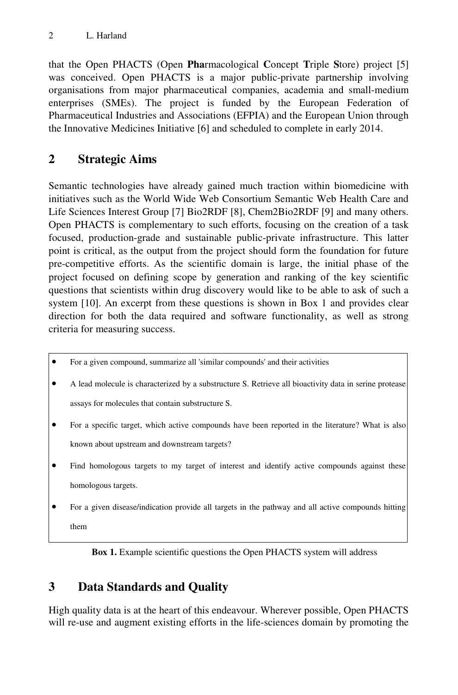that the Open PHACTS (Open **Pha**rmacological **C**oncept **T**riple **S**tore) project [5] was conceived. Open PHACTS is a major public-private partnership involving organisations from major pharmaceutical companies, academia and small-medium enterprises (SMEs). The project is funded by the European Federation of Pharmaceutical Industries and Associations (EFPIA) and the European Union through the Innovative Medicines Initiative [6] and scheduled to complete in early 2014.

# **2 Strategic Aims**

Semantic technologies have already gained much traction within biomedicine with initiatives such as the World Wide Web Consortium Semantic Web Health Care and Life Sciences Interest Group [7] Bio2RDF [8], Chem2Bio2RDF [9] and many others. Open PHACTS is complementary to such efforts, focusing on the creation of a task focused, production-grade and sustainable public-private infrastructure. This latter point is critical, as the output from the project should form the foundation for future pre-competitive efforts. As the scientific domain is large, the initial phase of the project focused on defining scope by generation and ranking of the key scientific questions that scientists within drug discovery would like to be able to ask of such a system [10]. An excerpt from these questions is shown in Box 1 and provides clear direction for both the data required and software functionality, as well as strong criteria for measuring success.

- For a given compound, summarize all 'similar compounds' and their activities
- A lead molecule is characterized by a substructure S. Retrieve all bioactivity data in serine protease assays for molecules that contain substructure S.
- For a specific target, which active compounds have been reported in the literature? What is also known about upstream and downstream targets?
- Find homologous targets to my target of interest and identify active compounds against these homologous targets.
- For a given disease/indication provide all targets in the pathway and all active compounds hitting them

**Box 1.** Example scientific questions the Open PHACTS system will address

# **3 Data Standards and Quality**

High quality data is at the heart of this endeavour. Wherever possible, Open PHACTS will re-use and augment existing efforts in the life-sciences domain by promoting the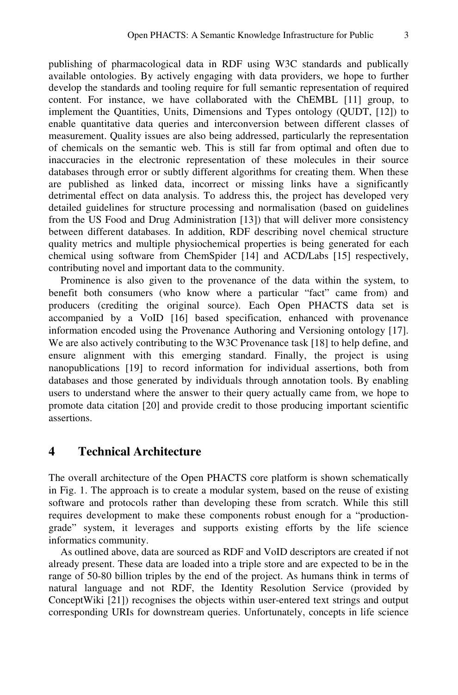publishing of pharmacological data in RDF using W3C standards and publically available ontologies. By actively engaging with data providers, we hope to further develop the standards and tooling require for full semantic representation of required content. For instance, we have collaborated with the ChEMBL [11] group, to implement the Quantities, Units, Dimensions and Types ontology (QUDT, [12]) to enable quantitative data queries and interconversion between different classes of measurement. Quality issues are also being addressed, particularly the representation of chemicals on the semantic web. This is still far from optimal and often due to inaccuracies in the electronic representation of these molecules in their source databases through error or subtly different algorithms for creating them. When these are published as linked data, incorrect or missing links have a significantly detrimental effect on data analysis. To address this, the project has developed very detailed guidelines for structure processing and normalisation (based on guidelines from the US Food and Drug Administration [13]) that will deliver more consistency between different databases. In addition, RDF describing novel chemical structure quality metrics and multiple physiochemical properties is being generated for each chemical using software from ChemSpider [14] and ACD/Labs [15] respectively, contributing novel and important data to the community.

Prominence is also given to the provenance of the data within the system, to benefit both consumers (who know where a particular "fact" came from) and producers (crediting the original source). Each Open PHACTS data set is accompanied by a VoID [16] based specification, enhanced with provenance information encoded using the Provenance Authoring and Versioning ontology [17]. We are also actively contributing to the W3C Provenance task [18] to help define, and ensure alignment with this emerging standard. Finally, the project is using nanopublications [19] to record information for individual assertions, both from databases and those generated by individuals through annotation tools. By enabling users to understand where the answer to their query actually came from, we hope to promote data citation [20] and provide credit to those producing important scientific assertions.

#### **4 Technical Architecture**

The overall architecture of the Open PHACTS core platform is shown schematically in Fig. 1. The approach is to create a modular system, based on the reuse of existing software and protocols rather than developing these from scratch. While this still requires development to make these components robust enough for a "productiongrade" system, it leverages and supports existing efforts by the life science informatics community.

As outlined above, data are sourced as RDF and VoID descriptors are created if not already present. These data are loaded into a triple store and are expected to be in the range of 50-80 billion triples by the end of the project. As humans think in terms of natural language and not RDF, the Identity Resolution Service (provided by ConceptWiki [21]) recognises the objects within user-entered text strings and output corresponding URIs for downstream queries. Unfortunately, concepts in life science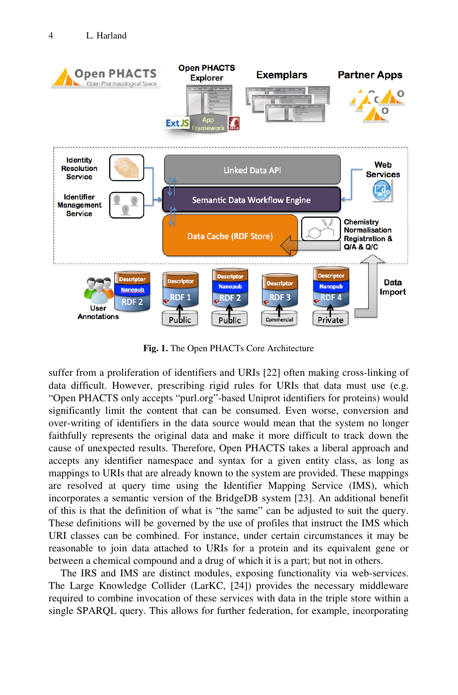

**Fig. 1.** The Open PHACTs Core Architecture

suffer from a proliferation of identifiers and URIs [22] often making cross-linking of data difficult. However, prescribing rigid rules for URIs that data must use (e.g. "Open PHACTS only accepts "purl.org"-based Uniprot identifiers for proteins) would significantly limit the content that can be consumed. Even worse, conversion and over-writing of identifiers in the data source would mean that the system no longer faithfully represents the original data and make it more difficult to track down the cause of unexpected results. Therefore, Open PHACTS takes a liberal approach and accepts any identifier namespace and syntax for a given entity class, as long as mappings to URIs that are already known to the system are provided. These mappings are resolved at query time using the Identifier Mapping Service (IMS), which incorporates a semantic version of the BridgeDB system [23]. An additional benefit of this is that the definition of what is "the same" can be adjusted to suit the query. These definitions will be governed by the use of profiles that instruct the IMS which URI classes can be combined. For instance, under certain circumstances it may be reasonable to join data attached to URIs for a protein and its equivalent gene or between a chemical compound and a drug of which it is a part; but not in others.

The IRS and IMS are distinct modules, exposing functionality via web-services. The Large Knowledge Collider (LarKC, [24]) provides the necessary middleware required to combine invocation of these services with data in the triple store within a single SPARQL query. This allows for further federation, for example, incorporating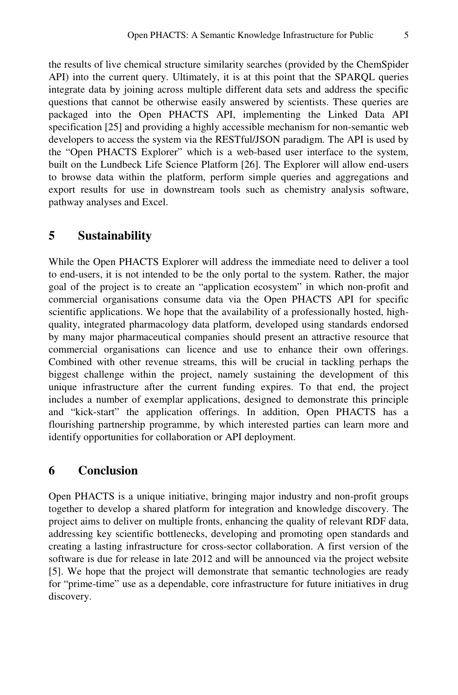the results of live chemical structure similarity searches (provided by the ChemSpider API) into the current query. Ultimately, it is at this point that the SPARQL queries integrate data by joining across multiple different data sets and address the specific questions that cannot be otherwise easily answered by scientists. These queries are packaged into the Open PHACTS API, implementing the Linked Data API specification [25] and providing a highly accessible mechanism for non-semantic web developers to access the system via the RESTful/JSON paradigm. The API is used by the "Open PHACTS Explorer" which is a web-based user interface to the system, built on the Lundbeck Life Science Platform [26]. The Explorer will allow end-users to browse data within the platform, perform simple queries and aggregations and export results for use in downstream tools such as chemistry analysis software, pathway analyses and Excel.

## **5 Sustainability**

While the Open PHACTS Explorer will address the immediate need to deliver a tool to end-users, it is not intended to be the only portal to the system. Rather, the major goal of the project is to create an "application ecosystem" in which non-profit and commercial organisations consume data via the Open PHACTS API for specific scientific applications. We hope that the availability of a professionally hosted, highquality, integrated pharmacology data platform, developed using standards endorsed by many major pharmaceutical companies should present an attractive resource that commercial organisations can licence and use to enhance their own offerings. Combined with other revenue streams, this will be crucial in tackling perhaps the biggest challenge within the project, namely sustaining the development of this unique infrastructure after the current funding expires. To that end, the project includes a number of exemplar applications, designed to demonstrate this principle and "kick-start" the application offerings. In addition, Open PHACTS has a flourishing partnership programme, by which interested parties can learn more and identify opportunities for collaboration or API deployment.

## **6 Conclusion**

Open PHACTS is a unique initiative, bringing major industry and non-profit groups together to develop a shared platform for integration and knowledge discovery. The project aims to deliver on multiple fronts, enhancing the quality of relevant RDF data, addressing key scientific bottlenecks, developing and promoting open standards and creating a lasting infrastructure for cross-sector collaboration. A first version of the software is due for release in late 2012 and will be announced via the project website [5]. We hope that the project will demonstrate that semantic technologies are ready for "prime-time" use as a dependable, core infrastructure for future initiatives in drug discovery.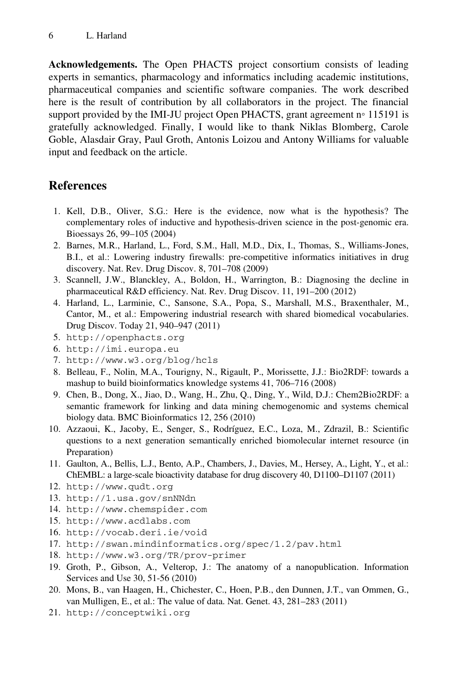**Acknowledgements.** The Open PHACTS project consortium consists of leading experts in semantics, pharmacology and informatics including academic institutions, pharmaceutical companies and scientific software companies. The work described here is the result of contribution by all collaborators in the project. The financial support provided by the IMI-JU project Open PHACTS, grant agreement n∘ 115191 is gratefully acknowledged. Finally, I would like to thank Niklas Blomberg, Carole Goble, Alasdair Gray, Paul Groth, Antonis Loizou and Antony Williams for valuable input and feedback on the article.

### **References**

- 1. Kell, D.B., Oliver, S.G.: Here is the evidence, now what is the hypothesis? The complementary roles of inductive and hypothesis-driven science in the post-genomic era. Bioessays 26, 99–105 (2004)
- 2. Barnes, M.R., Harland, L., Ford, S.M., Hall, M.D., Dix, I., Thomas, S., Williams-Jones, B.I., et al.: Lowering industry firewalls: pre-competitive informatics initiatives in drug discovery. Nat. Rev. Drug Discov. 8, 701–708 (2009)
- 3. Scannell, J.W., Blanckley, A., Boldon, H., Warrington, B.: Diagnosing the decline in pharmaceutical R&D efficiency. Nat. Rev. Drug Discov. 11, 191–200 (2012)
- 4. Harland, L., Larminie, C., Sansone, S.A., Popa, S., Marshall, M.S., Braxenthaler, M., Cantor, M., et al.: Empowering industrial research with shared biomedical vocabularies. Drug Discov. Today 21, 940–947 (2011)
- 5. http://openphacts.org
- 6. http://imi.europa.eu
- 7. http://www.w3.org/blog/hcls
- 8. Belleau, F., Nolin, M.A., Tourigny, N., Rigault, P., Morissette, J.J.: Bio2RDF: towards a mashup to build bioinformatics knowledge systems 41, 706–716 (2008)
- 9. Chen, B., Dong, X., Jiao, D., Wang, H., Zhu, Q., Ding, Y., Wild, D.J.: Chem2Bio2RDF: a semantic framework for linking and data mining chemogenomic and systems chemical biology data. BMC Bioinformatics 12, 256 (2010)
- 10. Azzaoui, K., Jacoby, E., Senger, S., Rodríguez, E.C., Loza, M., Zdrazil, B.: Scientific questions to a next generation semantically enriched biomolecular internet resource (in Preparation)
- 11. Gaulton, A., Bellis, L.J., Bento, A.P., Chambers, J., Davies, M., Hersey, A., Light, Y., et al.: ChEMBL: a large-scale bioactivity database for drug discovery 40, D1100–D1107 (2011)
- 12. http://www.qudt.org
- 13. http://1.usa.gov/snNNdn
- 14. http://www.chemspider.com
- 15. http://www.acdlabs.com
- 16. http://vocab.deri.ie/void
- 17. http://swan.mindinformatics.org/spec/1.2/pav.html
- 18. http://www.w3.org/TR/prov-primer
- 19. Groth, P., Gibson, A., Velterop, J.: The anatomy of a nanopublication. Information Services and Use 30, 51-56 (2010)
- 20. Mons, B., van Haagen, H., Chichester, C., Hoen, P.B., den Dunnen, J.T., van Ommen, G., van Mulligen, E., et al.: The value of data. Nat. Genet. 43, 281–283 (2011)
- 21. http://conceptwiki.org